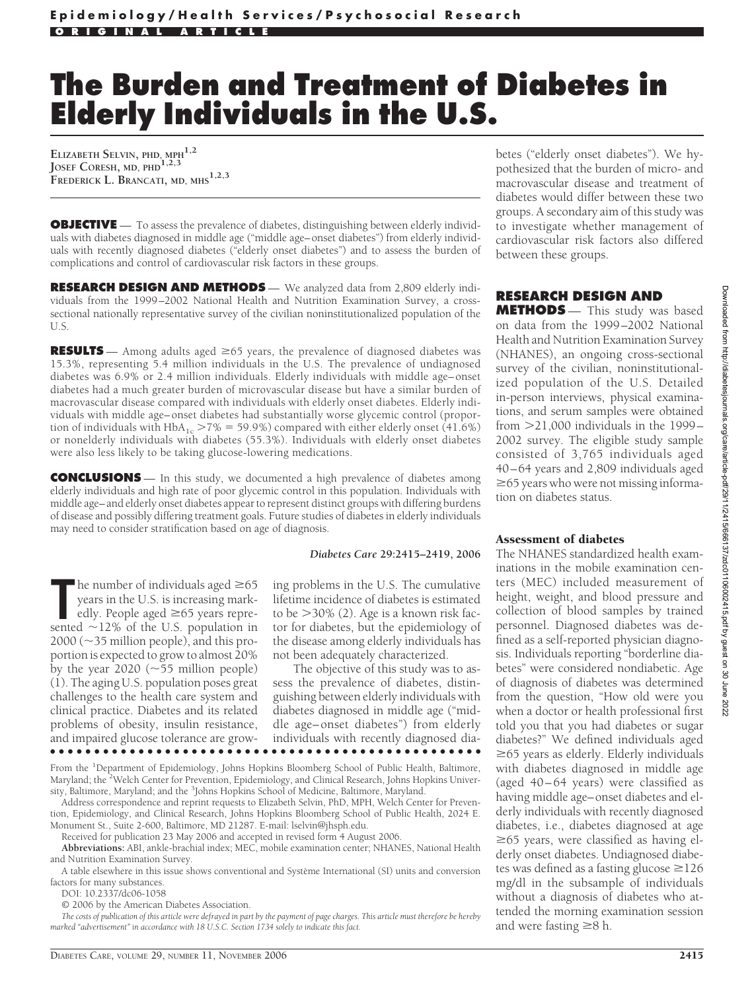# **The Burden and Treatment of Diabetes in Elderly Individuals in the U.S.**

**ELIZABETH SELVIN, PHD, MPH1,2 JOSEF CORESH, MD, PHD1,2,3 FREDERICK L. BRANCATI, MD, MHS1,2,3**

**OBJECTIVE** — To assess the prevalence of diabetes, distinguishing between elderly individuals with diabetes diagnosed in middle age ("middle age–onset diabetes") from elderly individuals with recently diagnosed diabetes ("elderly onset diabetes") and to assess the burden of complications and control of cardiovascular risk factors in these groups.

**RESEARCH DESIGN AND METHODS** — We analyzed data from 2,809 elderly individuals from the 1999–2002 National Health and Nutrition Examination Survey, a crosssectional nationally representative survey of the civilian noninstitutionalized population of the U.S.

**RESULTS** — Among adults aged  $\geq 65$  years, the prevalence of diagnosed diabetes was 15.3%, representing 5.4 million individuals in the U.S. The prevalence of undiagnosed diabetes was 6.9% or 2.4 million individuals. Elderly individuals with middle age–onset diabetes had a much greater burden of microvascular disease but have a similar burden of macrovascular disease compared with individuals with elderly onset diabetes. Elderly individuals with middle age–onset diabetes had substantially worse glycemic control (proportion of individuals with  $HbA_{1c} > 7\% = 59.9\%$ ) compared with either elderly onset (41.6%) or nonelderly individuals with diabetes (55.3%). Individuals with elderly onset diabetes were also less likely to be taking glucose-lowering medications.

**CONCLUSIONS** — In this study, we documented a high prevalence of diabetes among elderly individuals and high rate of poor glycemic control in this population. Individuals with middle age– and elderly onset diabetes appear to represent distinct groups with differing burdens of disease and possibly differing treatment goals. Future studies of diabetes in elderly individuals may need to consider stratification based on age of diagnosis.

#### *Diabetes Care* **29:2415–2419, 2006**

**The number of individuals aged**  $\geq 65$  **years in the U.S. is increasing markedly. People aged**  $\geq 65$  **years represented**  $\sim 12\%$  **of the U.S. population in**  $\blacksquare$  he number of individuals aged  $\geq 65$ years in the U.S. is increasing markedly. People aged  $\geq 65$  years repre- $2000$  ( $\sim$ 35 million people), and this proportion is expected to grow to almost 20% by the year  $2020$  ( $\sim 55$  million people) (1). The aging U.S. population poses great challenges to the health care system and clinical practice. Diabetes and its related problems of obesity, insulin resistance, and impaired glucose tolerance are grow-●●●●●●●●●●●●●●●●●●●●●●●●●●●●●●●●●●●●●●●●●●●●●●●●●

ing problems in the U.S. The cumulative lifetime incidence of diabetes is estimated to be  $>$ 30% (2). Age is a known risk factor for diabetes, but the epidemiology of the disease among elderly individuals has not been adequately characterized.

The objective of this study was to assess the prevalence of diabetes, distinguishing between elderly individuals with diabetes diagnosed in middle age ("middle age–onset diabetes") from elderly individuals with recently diagnosed dia-

From the <sup>1</sup>Department of Epidemiology, Johns Hopkins Bloomberg School of Public Health, Baltimore, Maryland; the <sup>2</sup>Welch Center for Prevention, Epidemiology, and Clinical Research, Johns Hopkins University, Baltimore, Maryland; and the <sup>3</sup>Johns Hopkins School of Medicine, Baltimore, Maryland.

Address correspondence and reprint requests to Elizabeth Selvin, PhD, MPH, Welch Center for Prevention, Epidemiology, and Clinical Research, Johns Hopkins Bloomberg School of Public Health, 2024 E. Monument St., Suite 2-600, Baltimore, MD 21287. E-mail: lselvin@jhsph.edu.

Received for publication 23 May 2006 and accepted in revised form 4 August 2006.

**Abbreviations:** ABI, ankle-brachial index; MEC, mobile examination center; NHANES, National Health and Nutrition Examination Survey.

A table elsewhere in this issue shows conventional and Système International (SI) units and conversion factors for many substances.

DOI: 10.2337/dc06-1058

© 2006 by the American Diabetes Association.

*The costs of publication of this article were defrayed in part by the payment of page charges. This article must therefore be hereby marked "advertisement" in accordance with 18 U.S.C. Section 1734 solely to indicate this fact.*

betes ("elderly onset diabetes"). We hypothesized that the burden of micro- and macrovascular disease and treatment of diabetes would differ between these two groups. A secondary aim of this study was to investigate whether management of cardiovascular risk factors also differed between these groups.

## **RESEARCH DESIGN AND**

**METHODS** — This study was based on data from the 1999–2002 National Health and Nutrition Examination Survey (NHANES), an ongoing cross-sectional survey of the civilian, noninstitutionalized population of the U.S. Detailed in-person interviews, physical examinations, and serum samples were obtained from  $>$ 21,000 individuals in the 1999– 2002 survey. The eligible study sample consisted of 3,765 individuals aged 40–64 years and 2,809 individuals aged  $\geq$  65 years who were not missing information on diabetes status.

### Assessment of diabetes

The NHANES standardized health examinations in the mobile examination centers (MEC) included measurement of height, weight, and blood pressure and collection of blood samples by trained personnel. Diagnosed diabetes was defined as a self-reported physician diagnosis. Individuals reporting "borderline diabetes" were considered nondiabetic. Age of diagnosis of diabetes was determined from the question, "How old were you when a doctor or health professional first told you that you had diabetes or sugar diabetes?" We defined individuals aged  $\geq$ 65 years as elderly. Elderly individuals with diabetes diagnosed in middle age (aged 40–64 years) were classified as having middle age–onset diabetes and elderly individuals with recently diagnosed diabetes, i.e., diabetes diagnosed at age  $\geq$ 65 years, were classified as having elderly onset diabetes. Undiagnosed diabetes was defined as a fasting glucose  $\geq$ 126 mg/dl in the subsample of individuals without a diagnosis of diabetes who attended the morning examination session and were fasting  $\geq 8$  h.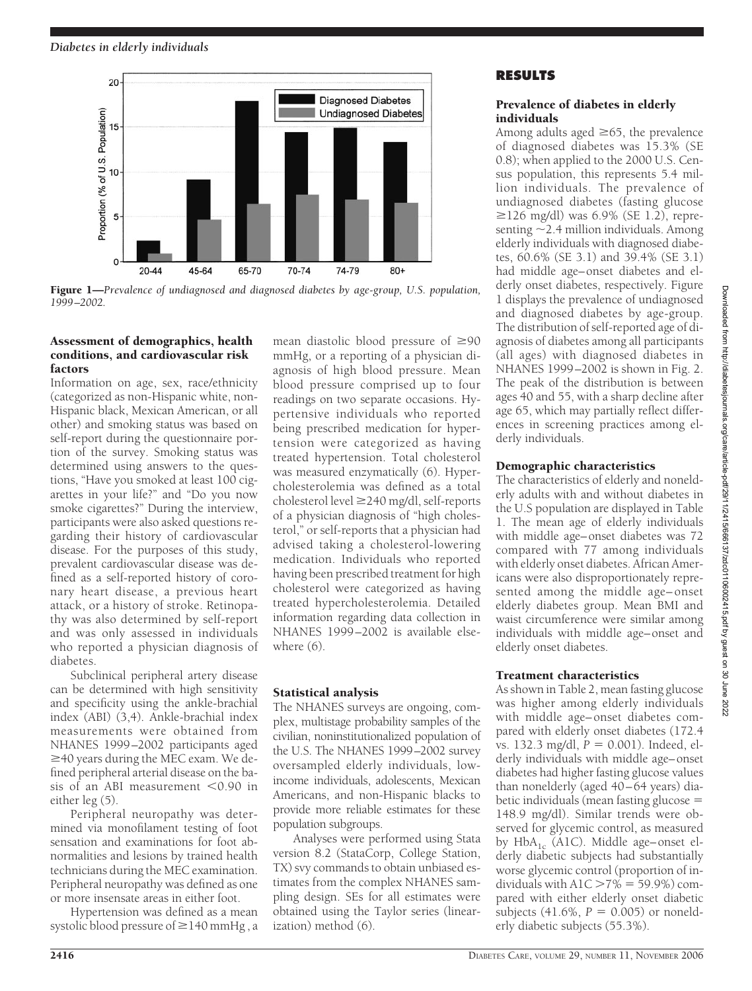

Figure 1—*Prevalence of undiagnosed and diagnosed diabetes by age-group, U.S. population, 1999 –2002.*

## Assessment of demographics, health conditions, and cardiovascular risk factors

Information on age, sex, race/ethnicity (categorized as non-Hispanic white, non-Hispanic black, Mexican American, or all other) and smoking status was based on self-report during the questionnaire portion of the survey. Smoking status was determined using answers to the questions, "Have you smoked at least 100 cigarettes in your life?" and "Do you now smoke cigarettes?" During the interview, participants were also asked questions regarding their history of cardiovascular disease. For the purposes of this study, prevalent cardiovascular disease was defined as a self-reported history of coronary heart disease, a previous heart attack, or a history of stroke. Retinopathy was also determined by self-report and was only assessed in individuals who reported a physician diagnosis of diabetes.

Subclinical peripheral artery disease can be determined with high sensitivity and specificity using the ankle-brachial index (ABI) (3,4). Ankle-brachial index measurements were obtained from NHANES 1999–2002 participants aged  $\geq$ 40 years during the MEC exam. We defined peripheral arterial disease on the basis of an ABI measurement  $< 0.90$  in either leg (5).

Peripheral neuropathy was determined via monofilament testing of foot sensation and examinations for foot abnormalities and lesions by trained health technicians during the MEC examination. Peripheral neuropathy was defined as one or more insensate areas in either foot.

Hypertension was defined as a mean systolic blood pressure of  $\geq$  140 mmHg, a

mean diastolic blood pressure of  $\geq 90$ mmHg, or a reporting of a physician diagnosis of high blood pressure. Mean blood pressure comprised up to four readings on two separate occasions. Hypertensive individuals who reported being prescribed medication for hypertension were categorized as having treated hypertension. Total cholesterol was measured enzymatically (6). Hypercholesterolemia was defined as a total cholesterol level  $\geq$  240 mg/dl, self-reports of a physician diagnosis of "high cholesterol," or self-reports that a physician had advised taking a cholesterol-lowering medication. Individuals who reported having been prescribed treatment for high cholesterol were categorized as having treated hypercholesterolemia. Detailed information regarding data collection in NHANES 1999–2002 is available elsewhere (6).

# Statistical analysis

The NHANES surveys are ongoing, complex, multistage probability samples of the civilian, noninstitutionalized population of the U.S. The NHANES 1999–2002 survey oversampled elderly individuals, lowincome individuals, adolescents, Mexican Americans, and non-Hispanic blacks to provide more reliable estimates for these population subgroups.

Analyses were performed using Stata version 8.2 (StataCorp, College Station, TX) svy commands to obtain unbiased estimates from the complex NHANES sampling design. SEs for all estimates were obtained using the Taylor series (linearization) method (6).

# **RESULTS**

# Prevalence of diabetes in elderly individuals

Among adults aged  $\geq 65$ , the prevalence of diagnosed diabetes was 15.3% (SE 0.8); when applied to the 2000 U.S. Census population, this represents 5.4 million individuals. The prevalence of undiagnosed diabetes (fasting glucose ≥126 mg/dl) was 6.9% (SE 1.2), representing  $\sim$  2.4 million individuals. Among elderly individuals with diagnosed diabetes, 60.6% (SE 3.1) and 39.4% (SE 3.1) had middle age–onset diabetes and elderly onset diabetes, respectively. Figure 1 displays the prevalence of undiagnosed and diagnosed diabetes by age-group. The distribution of self-reported age of diagnosis of diabetes among all participants (all ages) with diagnosed diabetes in NHANES 1999–2002 is shown in Fig. 2. The peak of the distribution is between ages 40 and 55, with a sharp decline after age 65, which may partially reflect differences in screening practices among elderly individuals.

## Demographic characteristics

The characteristics of elderly and nonelderly adults with and without diabetes in the U.S population are displayed in Table 1. The mean age of elderly individuals with middle age–onset diabetes was 72 compared with 77 among individuals with elderly onset diabetes. African Americans were also disproportionately represented among the middle age–onset elderly diabetes group. Mean BMI and waist circumference were similar among individuals with middle age–onset and elderly onset diabetes.

# Treatment characteristics

As shown in Table 2, mean fasting glucose was higher among elderly individuals with middle age–onset diabetes compared with elderly onset diabetes (172.4 vs. 132.3 mg/dl,  $P = 0.001$ ). Indeed, elderly individuals with middle age–onset diabetes had higher fasting glucose values than nonelderly (aged 40–64 years) diabetic individuals (mean fasting glucose  $=$ 148.9 mg/dl). Similar trends were observed for glycemic control, as measured by  $HbA_{1c}$  (A1C). Middle age–onset elderly diabetic subjects had substantially worse glycemic control (proportion of individuals with  $A1C > 7\% = 59.9\%)$  compared with either elderly onset diabetic subjects  $(41.6\%, P = 0.005)$  or nonelderly diabetic subjects (55.3%).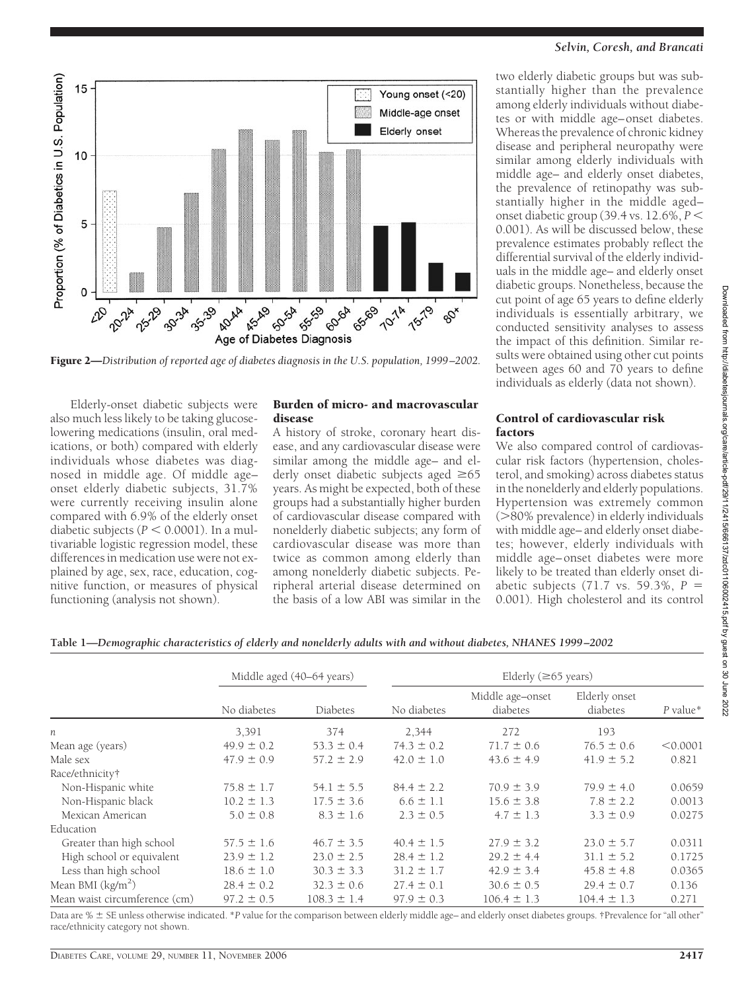

Figure 2—*Distribution of reported age of diabetes diagnosis in the U.S. population, 1999 –2002.*

Elderly-onset diabetic subjects were also much less likely to be taking glucoselowering medications (insulin, oral medications, or both) compared with elderly individuals whose diabetes was diagnosed in middle age. Of middle age– onset elderly diabetic subjects, 31.7% were currently receiving insulin alone compared with 6.9% of the elderly onset diabetic subjects ( $P < 0.0001$ ). In a multivariable logistic regression model, these differences in medication use were not explained by age, sex, race, education, cognitive function, or measures of physical functioning (analysis not shown).

#### Burden of micro- and macrovascular disease

A history of stroke, coronary heart disease, and any cardiovascular disease were similar among the middle age– and elderly onset diabetic subjects aged  $\geq 65$ years. As might be expected, both of these groups had a substantially higher burden of cardiovascular disease compared with nonelderly diabetic subjects; any form of cardiovascular disease was more than twice as common among elderly than among nonelderly diabetic subjects. Peripheral arterial disease determined on the basis of a low ABI was similar in the

#### *Selvin, Coresh, and Brancati*

two elderly diabetic groups but was substantially higher than the prevalence among elderly individuals without diabetes or with middle age–onset diabetes. Whereas the prevalence of chronic kidney disease and peripheral neuropathy were similar among elderly individuals with middle age– and elderly onset diabetes, the prevalence of retinopathy was substantially higher in the middle aged– onset diabetic group (39.4 vs. 12.6%, *P* 0.001). As will be discussed below, these prevalence estimates probably reflect the differential survival of the elderly individuals in the middle age– and elderly onset diabetic groups. Nonetheless, because the cut point of age 65 years to define elderly individuals is essentially arbitrary, we conducted sensitivity analyses to assess the impact of this definition. Similar results were obtained using other cut points between ages 60 and 70 years to define individuals as elderly (data not shown).

#### Control of cardiovascular risk factors

We also compared control of cardiovascular risk factors (hypertension, cholesterol, and smoking) across diabetes status in the nonelderly and elderly populations. Hypertension was extremely common (>80% prevalence) in elderly individuals with middle age– and elderly onset diabetes; however, elderly individuals with middle age–onset diabetes were more likely to be treated than elderly onset diabetic subjects (71.7 vs. 59.3%, *P* - 0.001). High cholesterol and its control

Downloaded from http://diabetesjournals.org/care/article-pdf/29/11/2415/666137/zdc01106002415.pdf by guest on 30 June 2022

Downloaded from http://diabetesjournals.org/care/article-pdf/29/11/2415/666137/zdc01106002415.pdf by guest on 30 June 2022

**Table 1—***Demographic characteristics of elderly and nonelderly adults with and without diabetes, NHANES 1999 –2002*

|                               | Middle aged (40–64 years) |                 | Elderly ( $\geq 65$ years) |                              |                           |            |
|-------------------------------|---------------------------|-----------------|----------------------------|------------------------------|---------------------------|------------|
|                               | No diabetes               | <b>Diabetes</b> | No diabetes                | Middle age-onset<br>diabetes | Elderly onset<br>diabetes | $P$ value* |
| n                             | 3,391                     | 374             | 2.344                      | 272                          | 193                       |            |
| Mean age (years)              | $49.9 \pm 0.2$            | $53.3 \pm 0.4$  | $74.3 \pm 0.2$             | $71.7 \pm 0.6$               | $76.5 \pm 0.6$            | < 0.0001   |
| Male sex                      | $47.9 \pm 0.9$            | $57.2 \pm 2.9$  | $42.0 \pm 1.0$             | $43.6 \pm 4.9$               | $41.9 \pm 5.2$            | 0.821      |
| Race/ethnicity†               |                           |                 |                            |                              |                           |            |
| Non-Hispanic white            | $75.8 \pm 1.7$            | $54.1 \pm 5.5$  | $84.4 \pm 2.2$             | $70.9 \pm 3.9$               | $79.9 \pm 4.0$            | 0.0659     |
| Non-Hispanic black            | $10.2 \pm 1.3$            | $17.5 \pm 3.6$  | $6.6 \pm 1.1$              | $15.6 \pm 3.8$               | $7.8 \pm 2.2$             | 0.0013     |
| Mexican American              | $5.0 \pm 0.8$             | $8.3 \pm 1.6$   | $2.3 \pm 0.5$              | $4.7 \pm 1.3$                | $3.3 \pm 0.9$             | 0.0275     |
| Education                     |                           |                 |                            |                              |                           |            |
| Greater than high school      | $57.5 \pm 1.6$            | $46.7 \pm 3.5$  | $40.4 \pm 1.5$             | $27.9 \pm 3.2$               | $23.0 \pm 5.7$            | 0.0311     |
| High school or equivalent     | $23.9 \pm 1.2$            | $23.0 \pm 2.5$  | $28.4 \pm 1.2$             | $29.2 \pm 4.4$               | $31.1 \pm 5.2$            | 0.1725     |
| Less than high school         | $18.6 \pm 1.0$            | $30.3 \pm 3.3$  | $31.2 \pm 1.7$             | $42.9 \pm 3.4$               | $45.8 \pm 4.8$            | 0.0365     |
| Mean BMI $(kg/m2)$            | $28.4 \pm 0.2$            | $32.3 \pm 0.6$  | $27.4 \pm 0.1$             | $30.6 \pm 0.5$               | $29.4 \pm 0.7$            | 0.136      |
| Mean waist circumference (cm) | $97.2 \pm 0.5$            | $108.3 \pm 1.4$ | $97.9 \pm 0.3$             | $106.4 \pm 1.3$              | $104.4 \pm 1.3$           | 0.271      |

Data are %  $\pm$  SE unless otherwise indicated. \**P* value for the comparison between elderly middle age– and elderly onset diabetes groups. †Prevalence for "all other" race/ethnicity category not shown.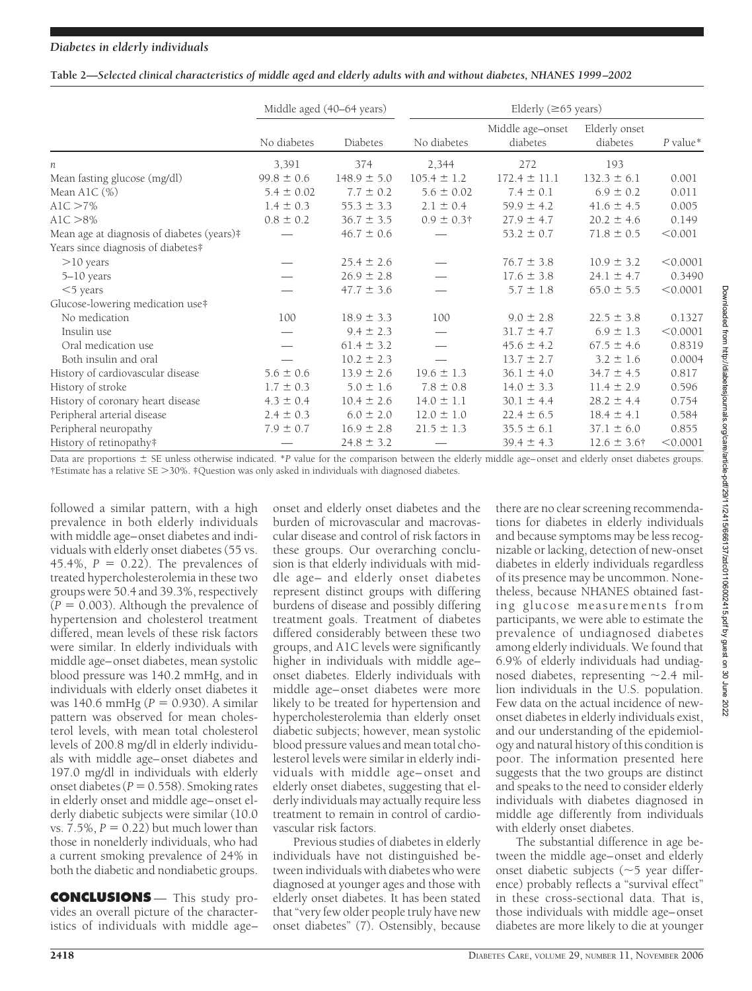| Table 2-Selected clinical characteristics of middle aged and elderly adults with and without diabetes, NHANES 1999-2002 |  |  |
|-------------------------------------------------------------------------------------------------------------------------|--|--|
|                                                                                                                         |  |  |

|                                            | Middle aged (40-64 years) |                 | Elderly $(\geq 65$ years)        |                              |                           |          |
|--------------------------------------------|---------------------------|-----------------|----------------------------------|------------------------------|---------------------------|----------|
|                                            | No diabetes               | Diabetes        | No diabetes                      | Middle age-onset<br>diabetes | Elderly onset<br>diabetes | P value* |
| n                                          | 3,391                     | 374             | 2,344                            | 272                          | 193                       |          |
| Mean fasting glucose (mg/dl)               | $99.8 \pm 0.6$            | $148.9 \pm 5.0$ | $105.4 \pm 1.2$                  | $172.4 \pm 11.1$             | $132.3 \pm 6.1$           | 0.001    |
| Mean A1C $(\%)$                            | $5.4 \pm 0.02$            | $7.7 \pm 0.2$   | $5.6 \pm 0.02$                   | $7.4 \pm 0.1$                | $6.9 \pm 0.2$             | 0.011    |
| $A1C > 7\%$                                | $1.4 \pm 0.3$             | $55.3 \pm 3.3$  | $2.1 \pm 0.4$                    | $59.9 \pm 4.2$               | $41.6 \pm 4.5$            | 0.005    |
| $A1C > 8\%$                                | $0.8 \pm 0.2$             | $36.7 \pm 3.5$  | $0.9 \pm 0.3$ †                  | $27.9 \pm 4.7$               | $20.2 \pm 4.6$            | 0.149    |
| Mean age at diagnosis of diabetes (years)# |                           | $46.7 \pm 0.6$  |                                  | $53.2 \pm 0.7$               | $71.8 \pm 0.5$            | < 0.001  |
| Years since diagnosis of diabetes#         |                           |                 |                                  |                              |                           |          |
| $>10$ years                                |                           | $25.4 \pm 2.6$  |                                  | $76.7 \pm 3.8$               | $10.9 \pm 3.2$            | < 0.0001 |
| $5-10$ years                               |                           | $26.9 \pm 2.8$  |                                  | $17.6 \pm 3.8$               | $24.1 \pm 4.7$            | 0.3490   |
| $<$ 5 years                                |                           | $47.7 \pm 3.6$  |                                  | $5.7 \pm 1.8$                | $65.0 \pm 5.5$            | < 0.0001 |
| Glucose-lowering medication use#           |                           |                 |                                  |                              |                           |          |
| No medication                              | 100                       | $18.9 \pm 3.3$  | 100                              | $9.0 \pm 2.8$                | $22.5 \pm 3.8$            | 0.1327   |
| Insulin use                                |                           | $9.4 \pm 2.3$   | $\overbrace{\phantom{12322111}}$ | $31.7 \pm 4.7$               | $6.9 \pm 1.3$             | < 0.0001 |
| Oral medication use                        |                           | $61.4 \pm 3.2$  |                                  | $45.6 \pm 4.2$               | $67.5 \pm 4.6$            | 0.8319   |
| Both insulin and oral                      |                           | $10.2 \pm 2.3$  |                                  | $13.7 \pm 2.7$               | $3.2 \pm 1.6$             | 0.0004   |
| History of cardiovascular disease          | $5.6 \pm 0.6$             | $13.9 \pm 2.6$  | $19.6 \pm 1.3$                   | $36.1 \pm 4.0$               | $34.7 \pm 4.5$            | 0.817    |
| History of stroke                          | $1.7 \pm 0.3$             | $5.0 \pm 1.6$   | $7.8 \pm 0.8$                    | $14.0 \pm 3.3$               | $11.4 \pm 2.9$            | 0.596    |
| History of coronary heart disease          | $4.3 \pm 0.4$             | $10.4 \pm 2.6$  | $14.0 \pm 1.1$                   | $30.1 \pm 4.4$               | $28.2 \pm 4.4$            | 0.754    |
| Peripheral arterial disease                | $2.4 \pm 0.3$             | $6.0 \pm 2.0$   | $12.0 \pm 1.0$                   | $22.4 \pm 6.5$               | $18.4 \pm 4.1$            | 0.584    |
| Peripheral neuropathy                      | $7.9 \pm 0.7$             | $16.9 \pm 2.8$  | $21.5 \pm 1.3$                   | $35.5 \pm 6.1$               | $37.1 \pm 6.0$            | 0.855    |
| History of retinopathy#                    |                           | $24.8 \pm 3.2$  |                                  | $39.4 \pm 4.3$               | $12.6 \pm 3.6^{\dagger}$  | < 0.0001 |

Data are proportions  $\pm$  SE unless otherwise indicated. \**P* value for the comparison between the elderly middle age–onset and elderly onset diabetes groups. †Estimate has a relative SE 30%. ‡Question was only asked in individuals with diagnosed diabetes.

followed a similar pattern, with a high prevalence in both elderly individuals with middle age–onset diabetes and individuals with elderly onset diabetes (55 vs.  $45.4\%$ ,  $P = 0.22$ ). The prevalences of treated hypercholesterolemia in these two groups were 50.4 and 39.3%, respectively  $(P = 0.003)$ . Although the prevalence of hypertension and cholesterol treatment differed, mean levels of these risk factors were similar. In elderly individuals with middle age–onset diabetes, mean systolic blood pressure was 140.2 mmHg, and in individuals with elderly onset diabetes it was 140.6 mmHg (*P* = 0.930). A similar pattern was observed for mean cholesterol levels, with mean total cholesterol levels of 200.8 mg/dl in elderly individuals with middle age–onset diabetes and 197.0 mg/dl in individuals with elderly onset diabetes ( $P = 0.558$ ). Smoking rates in elderly onset and middle age–onset elderly diabetic subjects were similar (10.0  $vs. 7.5\%, P = 0.22$ ) but much lower than those in nonelderly individuals, who had a current smoking prevalence of 24% in both the diabetic and nondiabetic groups.

**CONCLUSIONS** — This study provides an overall picture of the characteristics of individuals with middle age–

onset and elderly onset diabetes and the burden of microvascular and macrovascular disease and control of risk factors in these groups. Our overarching conclusion is that elderly individuals with middle age– and elderly onset diabetes represent distinct groups with differing burdens of disease and possibly differing treatment goals. Treatment of diabetes differed considerably between these two groups, and A1C levels were significantly higher in individuals with middle age– onset diabetes. Elderly individuals with middle age–onset diabetes were more likely to be treated for hypertension and hypercholesterolemia than elderly onset diabetic subjects; however, mean systolic blood pressure values and mean total cholesterol levels were similar in elderly individuals with middle age–onset and elderly onset diabetes, suggesting that elderly individuals may actually require less treatment to remain in control of cardiovascular risk factors.

Previous studies of diabetes in elderly individuals have not distinguished between individuals with diabetes who were diagnosed at younger ages and those with elderly onset diabetes. It has been stated that "very few older people truly have new onset diabetes" (7). Ostensibly, because

there are no clear screening recommendations for diabetes in elderly individuals and because symptoms may be less recognizable or lacking, detection of new-onset diabetes in elderly individuals regardless of its presence may be uncommon. Nonetheless, because NHANES obtained fasting glucose measurements from participants, we were able to estimate the prevalence of undiagnosed diabetes among elderly individuals. We found that 6.9% of elderly individuals had undiagnosed diabetes, representing  $\sim$ 2.4 million individuals in the U.S. population. Few data on the actual incidence of newonset diabetes in elderly individuals exist, and our understanding of the epidemiology and natural history of this condition is poor. The information presented here suggests that the two groups are distinct and speaks to the need to consider elderly individuals with diabetes diagnosed in middle age differently from individuals with elderly onset diabetes.

The substantial difference in age between the middle age–onset and elderly onset diabetic subjects ( $\sim$ 5 year difference) probably reflects a "survival effect" in these cross-sectional data. That is, those individuals with middle age–onset diabetes are more likely to die at younger